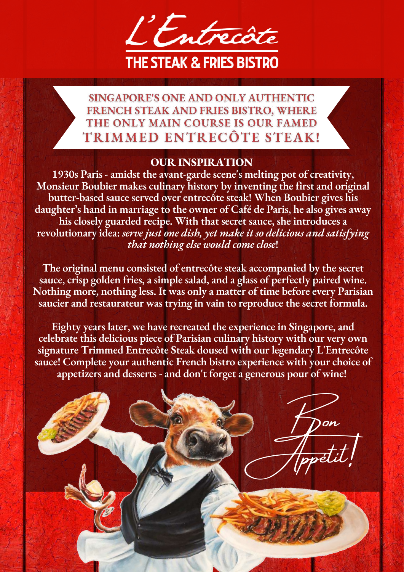

SINGAPORE'S ONE AND ONLY AUTHENTIC **FRENCH STEAK AND FRIES BISTRO, WHERE** THE ONLY MAIN COURSE IS OUR FAMED TRIMMED ENTRECÔTE STEAK!

# **OUR INSPIRATION**

 **1930s Paris - amidst the avant-garde scene's melting pot of creativity, Monsieur Boubier makes culinary history by inventing the first and original <u>butter-based sauce served over entrecôte steak! When Boubier gives his**</u> **daughter's hand in marriage to the owner of Café de Paris, he also gives away** his closely guarded recipe. With that secret sauce, she introduces a **ȍNjΑǽDZȚȗǡǽǷƲȍΘ ǡLJNjƲश** *Ȧǡȣ͎ǡ ȂȰȦȭ ȓȍǡ ǝǷȦǴ ͕ǡȭ ȌLjȅǡ Ƿȭ Ȧȓ ǝǡȇǷǗǷȓȰȦ Ljȍǝ ȦLjȭǷȦǭ͕ǷȍǮ that nothing else would come close!* 

**The original menu consisted of entrecôte steak accompanied by the secret** sauce, crisp golden fries, a simple salad, and a glass of perfectly paired wine. **Nothing more, nothing less. It was only a matter of time before every Parisian** saucier and restaurateur was trying in vain to reproduce the secret formula.

**is Eighty years later, we have recreated the experience in Singapore, and <u><b> celebrate this delicious piece of Parisian culinary history with our very own**</u> signature Trimmed Entrecôte Steak doused with our legendary L'Entrecôte sauce! Complete your authentic French bistro experience with your choice of appetizers and desserts - and don't forget a generous pour of wine!

 $\mathcal{P}$ on

I pon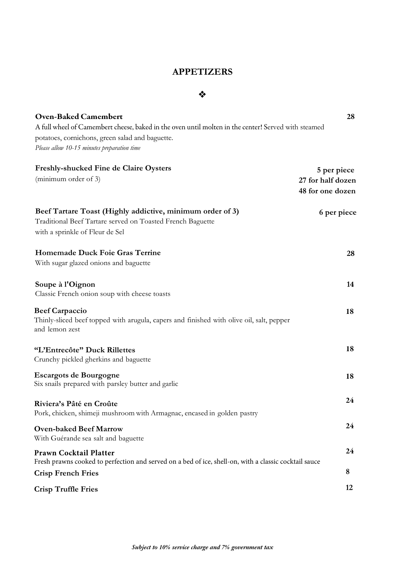### **APPETIZERS**

#### ❖

| <b>Oven-Baked Camembert</b>                                                                                | 28                |
|------------------------------------------------------------------------------------------------------------|-------------------|
| A full wheel of Camembert cheese, baked in the oven until molten in the center! Served with steamed        |                   |
| potatoes, cornichons, green salad and baguette.                                                            |                   |
| Please allow 10-15 minutes preparation time                                                                |                   |
| <b>Freshly-shucked Fine de Claire Oysters</b>                                                              | 5 per piece       |
| (minimum order of 3)                                                                                       | 27 for half dozen |
|                                                                                                            | 48 for one dozen  |
| Beef Tartare Toast (Highly addictive, minimum order of 3)                                                  | 6 per piece       |
| Traditional Beef Tartare served on Toasted French Baguette                                                 |                   |
| with a sprinkle of Fleur de Sel                                                                            |                   |
| Homemade Duck Foie Gras Terrine                                                                            | 28                |
| With sugar glazed onions and baguette                                                                      |                   |
| Soupe à l'Oignon                                                                                           | 14                |
| Classic French onion soup with cheese toasts                                                               |                   |
| <b>Beef Carpaccio</b>                                                                                      | 18                |
| Thinly-sliced beef topped with arugula, capers and finished with olive oil, salt, pepper<br>and lemon zest |                   |
| "L'Entrecôte" Duck Rillettes                                                                               | 18                |
| Crunchy pickled gherkins and baguette                                                                      |                   |
| <b>Escargots de Bourgogne</b>                                                                              | 18                |
| Six snails prepared with parsley butter and garlic                                                         |                   |
| Riviera's Pâté en Croûte                                                                                   | 24                |
| Pork, chicken, shimeji mushroom with Armagnac, encased in golden pastry                                    |                   |
| <b>Oven-baked Beef Marrow</b>                                                                              | 24                |
| With Guérande sea salt and baguette                                                                        |                   |
| Prawn Cocktail Platter                                                                                     | 24                |
| Fresh prawns cooked to perfection and served on a bed of ice, shell-on, with a classic cocktail sauce      | 8                 |
| <b>Crisp French Fries</b>                                                                                  |                   |
| <b>Crisp Truffle Fries</b>                                                                                 | 12                |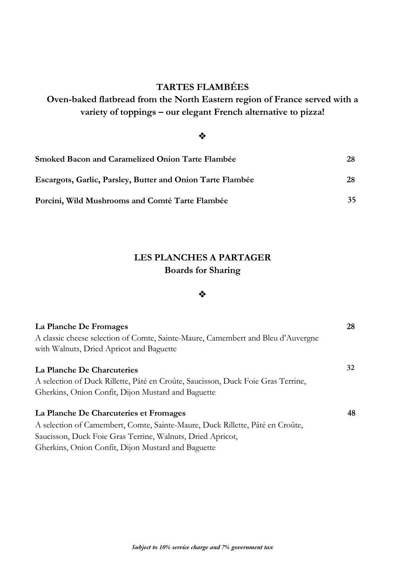## **TARTES FLAMBÉES**

**Oven-baked flatbread from the North Eastern region of France served with a variety of toppings – our elegant French alternative to pizza!**

### ❖

| Smoked Bacon and Caramelized Onion Tarte Flambée                  | 28 |
|-------------------------------------------------------------------|----|
| <b>Escargots, Garlic, Parsley, Butter and Onion Tarte Flambée</b> | 28 |
| Porcini, Wild Mushrooms and Comté Tarte Flambée                   | 35 |

### **LES PLANCHES A PARTAGER Boards for Sharing**

#### ❖

| La Planche De Fromages                                                           | 28 |
|----------------------------------------------------------------------------------|----|
| A classic cheese selection of Comte, Sainte-Maure, Camembert and Bleu d'Auvergne |    |
| with Walnuts, Dried Apricot and Baguette                                         |    |
| La Planche De Charcuteries                                                       | 32 |
| A selection of Duck Rillette, Pâté en Croûte, Saucisson, Duck Foie Gras Terrine, |    |
| Gherkins, Onion Confit, Dijon Mustard and Baguette                               |    |
| La Planche De Charcuteries et Fromages                                           | 48 |
| A selection of Camembert, Comte, Sainte-Maure, Duck Rillette, Pâté en Croûte,    |    |
| Saucisson, Duck Foie Gras Terrine, Walnuts, Dried Apricot,                       |    |
| Gherkins, Onion Confit, Dijon Mustard and Baguette                               |    |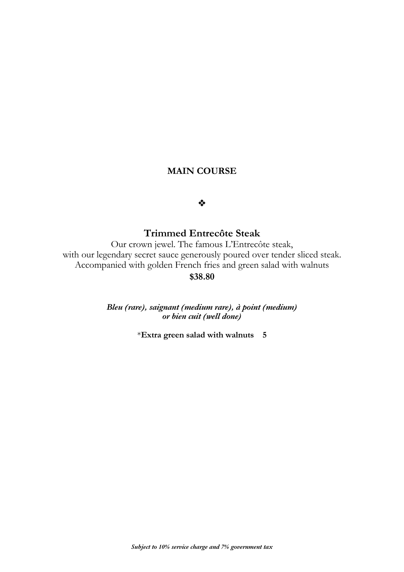### **MAIN COURSE**

#### ❖

### **Trimmed Entrecôte Steak**

Our crown jewel. The famous L'Entrecôte steak, with our legendary secret sauce generously poured over tender sliced steak. Accompanied with golden French fries and green salad with walnuts **\$38.80**

> *Bleu (rare), saignant (medium rare), à point (medium) or bien cuit (well done)*

> > \***Extra green salad with walnuts 5**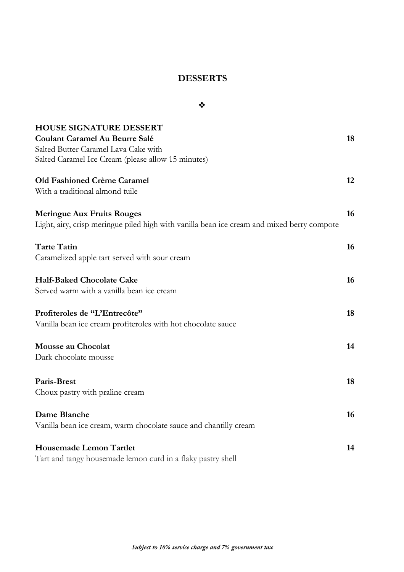### **DESSERTS**

❖

**HOUSE SIGNATURE DESSERT Coulant Caramel Au Beurre Salé 18** Salted Butter Caramel Lava Cake with Salted Caramel Ice Cream (please allow 15 minutes) **Old Fashioned Crème Caramel 12** With a traditional almond tuile **Meringue Aux Fruits Rouges 16** Light, airy, crisp meringue piled high with vanilla bean ice cream and mixed berry compote **Tarte Tatin 16** Caramelized apple tart served with sour cream **Half-Baked Chocolate Cake 16** Served warm with a vanilla bean ice cream **Profiteroles de "L'Entrecôte" 18** Vanilla bean ice cream profiteroles with hot chocolate sauce **Mousse au Chocolat 14** Dark chocolate mousse **Paris-Brest 18** Choux pastry with praline cream **Dame Blanche 16** Vanilla bean ice cream, warm chocolate sauce and chantilly cream **Housemade Lemon Tartlet 14** Tart and tangy housemade lemon curd in a flaky pastry shell